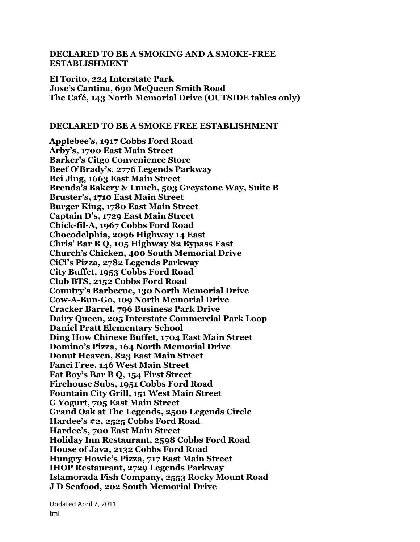## **DECLARED TO BE A SMOKING AND A SMOKE-FREE ESTABLISHMENT**

**El Torito, 224 Interstate Park Jose's Cantina, 690 McQueen Smith Road The Café, 143 North Memorial Drive (OUTSIDE tables only)**

## **DECLARED TO BE A SMOKE FREE ESTABLISHMENT**

**Applebee's, 1917 Cobbs Ford Road Arby's, 1700 East Main Street Barker's Citgo Convenience Store Beef O'Brady's, 2776 Legends Parkway Bei Jing, 1663 East Main Street Brenda's Bakery & Lunch, 503 Greystone Way, Suite B Bruster's, 1710 East Main Street Burger King, 1780 East Main Street Captain D's, 1729 East Main Street Chick-fil-A, 1967 Cobbs Ford Road Chocodelphia, 2096 Highway 14 East Chris' Bar B Q, 105 Highway 82 Bypass East Church's Chicken, 400 South Memorial Drive CiCi's Pizza, 2782 Legends Parkway City Buffet, 1953 Cobbs Ford Road Club BTS, 2152 Cobbs Ford Road Country's Barbecue, 130 North Memorial Drive Cow-A-Bun-Go, 109 North Memorial Drive Cracker Barrel, 796 Business Park Drive Dairy Queen, 205 Interstate Commercial Park Loop Daniel Pratt Elementary School Ding How Chinese Buffet, 1704 East Main Street Domino's Pizza, 164 North Memorial Drive Donut Heaven, 823 East Main Street Fanci Free, 146 West Main Street Fat Boy's Bar B Q, 154 First Street Firehouse Subs, 1951 Cobbs Ford Road Fountain City Grill, 151 West Main Street G Yogurt, 705 East Main Street Grand Oak at The Legends, 2500 Legends Circle Hardee's #2, 2525 Cobbs Ford Road Hardee's, 700 East Main Street Holiday Inn Restaurant, 2598 Cobbs Ford Road House of Java, 2132 Cobbs Ford Road Hungry Howie's Pizza, 717 East Main Street IHOP Restaurant, 2729 Legends Parkway Islamorada Fish Company, 2553 Rocky Mount Road J D Seafood, 202 South Memorial Drive**

Updated April 7, 2011 tml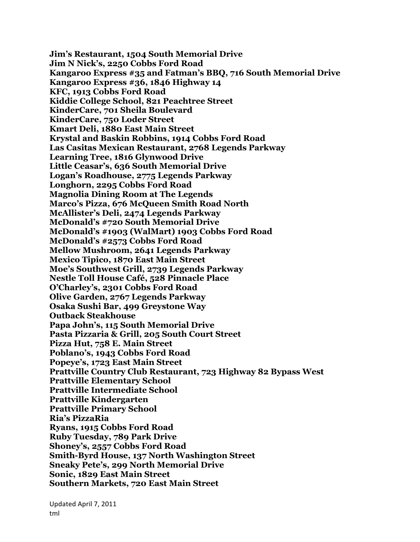**Jim's Restaurant, 1504 South Memorial Drive Jim N Nick's, 2250 Cobbs Ford Road Kangaroo Express #35 and Fatman's BBQ, 716 South Memorial Drive Kangaroo Express #36, 1846 Highway 14 KFC, 1913 Cobbs Ford Road Kiddie College School, 821 Peachtree Street KinderCare, 701 Sheila Boulevard KinderCare, 750 Loder Street Kmart Deli, 1880 East Main Street Krystal and Baskin Robbins, 1914 Cobbs Ford Road Las Casitas Mexican Restaurant, 2768 Legends Parkway Learning Tree, 1816 Glynwood Drive Little Ceasar's, 636 South Memorial Drive Logan's Roadhouse, 2775 Legends Parkway Longhorn, 2295 Cobbs Ford Road Magnolia Dining Room at The Legends Marco's Pizza, 676 McQueen Smith Road North McAllister's Deli, 2474 Legends Parkway McDonald's #720 South Memorial Drive McDonald's #1903 (WalMart) 1903 Cobbs Ford Road McDonald's #2573 Cobbs Ford Road Mellow Mushroom, 2641 Legends Parkway Mexico Tipico, 1870 East Main Street Moe's Southwest Grill, 2739 Legends Parkway Nestle Toll House Café, 528 Pinnacle Place O'Charley's, 2301 Cobbs Ford Road Olive Garden, 2767 Legends Parkway Osaka Sushi Bar, 499 Greystone Way Outback Steakhouse Papa John's, 115 South Memorial Drive Pasta Pizzaria & Grill, 205 South Court Street Pizza Hut, 758 E. Main Street Poblano's, 1943 Cobbs Ford Road Popeye's, 1723 East Main Street Prattville Country Club Restaurant, 723 Highway 82 Bypass West Prattville Elementary School Prattville Intermediate School Prattville Kindergarten Prattville Primary School Ria's PizzaRia Ryans, 1915 Cobbs Ford Road Ruby Tuesday, 789 Park Drive Shoney's, 2557 Cobbs Ford Road Smith-Byrd House, 137 North Washington Street Sneaky Pete's, 299 North Memorial Drive Sonic, 1829 East Main Street Southern Markets, 720 East Main Street**

Updated April 7, 2011 tml